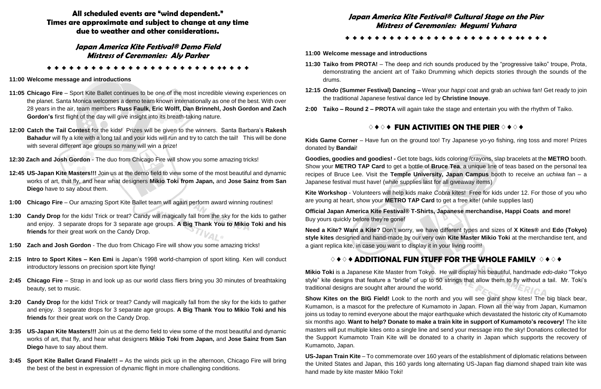**All scheduled events are "wind dependent." Times are approximate and subject to change at any time due to weather and other considerations.**

### **Japan America Kite Festival® Demo Field Mistress of Ceremonies: Aly Parker**

✤ ✤ ✤ ✤ ✤ ✤ ✤ ✤ ✤ ✤ ✤ ✤ ✤ ✤ ✤ ✤ ✤ ✤ ✤ ✤ ✤ ✤ ✤ ✤✤ ✤ ✤ ✤

### **11:00 Welcome message and introductions**

- **11:05 Chicago Fire** Sport Kite Ballet continues to be one of the most incredible viewing experiences on the planet. Santa Monica welcomes a demo team known internationally as one of the best. With over 28 years in the air, team members **Russ Faulk, Eric Wolff, Dan Brinnehl, Josh Gordon and Zach Gordon's** first flight of the day will give insight into its breath-taking nature.
- **12:00 Catch the Tail Contest** for the kids! Prizes will be given to the winners. Santa Barbara's **Rakesh Bahadur** will fly a kite with a long tail and your kids will run and try to catch the tail! This will be done with several different age groups so many will win a prize!
- **12:30 Zach and Josh Gordon** The duo from Chicago Fire will show you some amazing tricks!
- **12:45 US-Japan Kite Masters!!!** Join us at the demo field to view some of the most beautiful and dynamic works of art, that fly, and hear what designers **Mikio Toki from Japan,** and **Jose Sainz from San Diego** have to say about them.
- **1:00 Chicago Fire** Our amazing Sport Kite Ballet team will again perform award winning routines!
- **1:30 Candy Drop** for the kids! Trick or treat? Candy will magically fall from the sky for the kids to gather and enjoy. 3 separate drops for 3 separate age groups. **A Big Thank You to Mikio Toki and his friends** for their great work on the Candy Drop.
- **1:50 Zach and Josh Gordon** The duo from Chicago Fire will show you some amazing tricks!
- **2:15 Intro to Sport Kites – Ken Emi** is Japan's 1998 world-champion of sport kiting. Ken will conduct introductory lessons on precision sport kite flying!
- **2:45 Chicago Fire** Strap in and look up as our world class fliers bring you 30 minutes of breathtaking beauty, set to music.
- **3:20 Candy Drop** for the kids**!** Trick or treat? Candy will magically fall from the sky for the kids to gather and enjoy. 3 separate drops for 3 separate age groups. **A Big Thank You to Mikio Toki and his friends** for their great work on the Candy Drop.
- **3:35 US-Japan Kite Masters!!!** Join us at the demo field to view some of the most beautiful and dynamic works of art, that fly, and hear what designers **Mikio Toki from Japan,** and **Jose Sainz from San Diego** have to say about them.
- **3:45 Sport Kite Ballet Grand Finale!!! –** As the winds pick up in the afternoon, Chicago Fire will bring the best of the best in expression of dynamic flight in more challenging conditions.

**Goodies, goodies and goodies! -** Get tote bags, kids coloring /crayons, slap bracelets at the **METRO** booth. Show your **METRO TAP Card** to get a bottle of **Bruce Tea**, a unique line of teas based on the personal tea recipes of Bruce Lee. Visit the **Temple University, Japan Campus** booth to receive an *uchiwa* fan – a Japanese festival must have! (while supplies last for all giveaway items)

# **Japan America Kite Festival® Cultural Stage on the Pier Mistress of Ceremonies: Megumi Yuhara**

✤ ✤ ✤ ✤ ✤ ✤ ✤ ✤ ✤ ✤ ✤ ✤ ✤ ✤ ✤ ✤ ✤ ✤ ✤ ✤ ✤ ✤ ✤ ✤✤ ✤ ✤ ✤

### **11:00 Welcome message and introductions**

**11:30 Taiko from PROTA!** – The deep and rich sounds produced by the "progressive taiko" troupe, Prota, demonstrating the ancient art of Taiko Drumming which depicts stories through the sounds of the

**12:15** *Ondo* **(Summer Festival) Dancing –** Wear your *happi* coat and grab an *uchiwa* fan! Get ready to join

- drums.
- the traditional Japanese festival dance led by **Christine Inouye**.
- **2:00 Taiko – Round 2 – PROTA** will again take the stage and entertain you with the rhythm of Taiko.

### ♢ ♦ ♢ ♦ **FUN ACTIVITIES ON THE PIER** ♢ ♦ ♢ ♦

**Kids Game Corner** – Have fun on the ground too! Try Japanese yo-yo fishing, ring toss and more! Prizes donated by **Bandai**!

**Kite Workshop** - Volunteers will help kids make *Cobra* kites! Free for kids under 12. For those of you who are young at heart, show your **METRO TAP Card** to get a free kite! (while supplies last)

**Official Japan America Kite Festival® T-Shirts, Japanese merchandise, Happi Coats and more!** Buy yours quickly before they're gone!

**Need a Kite? Want a Kite?** Don't worry, we have different types and sizes of **X Kites®** and **Edo (Tokyo) style kites** designed and hand-made by our very own **Kite Master Mikio Toki** at the merchandise tent, and a giant replica kite, in case you want to display it in your living room!

## ♢ ♦ ♢ ♦ **ADDITIONAL FUN STUFF FOR THE WHOLE FAMILY** ♢ ♦ ♢ ♦

**Mikio Toki** is a Japanese Kite Master from Tokyo. He will display his beautiful, handmade *edo-dako* "Tokyo style" kite designs that feature a "bridle" of up to 50 strings that allow them to fly without a tail. Mr. Toki's traditional designs are sought after around the world.

**Show Kites on the BIG Field!** Look to the north and you will see giant show kites! The big black bear, Kumamon, is a mascot for the prefecture of Kumamoto in Japan. Flown all the way from Japan, Kumamon joins us today to remind everyone about the major earthquake which devastated the historic city of Kumamoto six months ago. **Want to help? Donate to make a train kite in support of Kumamoto's recovery!** The kite masters will put multiple kites onto a single line and send your message into the sky! Donations collected for the Support Kumamoto Train Kite will be donated to a charity in Japan which supports the recovery of Kumamoto, Japan.

**US-Japan Train Kite** – To commemorate over 160 years of the establishment of diplomatic relations between the United States and Japan, this 160 yards long alternating US-Japan flag diamond shaped train kite was hand made by kite master Mikio Toki!